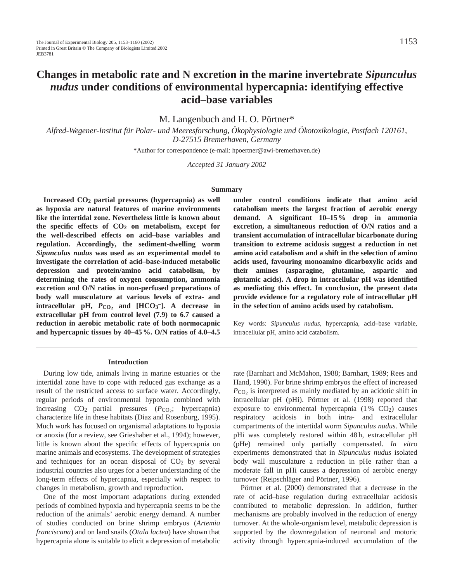# **Changes in metabolic rate and N excretion in the marine invertebrate** *Sipunculus nudus* **under conditions of environmental hypercapnia: identifying effective acid–base variables**

M. Langenbuch and H. O. Pörtner\*

*Alfred-Wegener-Institut für Polar- und Meeresforschung, Ökophysiologie und Ökotoxikologie, Postfach 120161, D-27515 Bremerhaven, Germany*

\*Author for correspondence (e-mail: hpoertner@awi-bremerhaven.de)

*Accepted 31 January 2002* 

#### **Summary**

**Increased CO2 partial pressures (hypercapnia) as well as hypoxia are natural features of marine environments like the intertidal zone. Nevertheless little is known about the specific effects of CO2 on metabolism, except for the well-described effects on acid–base variables and regulation. Accordingly, the sediment-dwelling worm** *Sipunculus nudus* **was used as an experimental model to investigate the correlation of acid–base-induced metabolic depression and protein/amino acid catabolism, by determining the rates of oxygen consumption, ammonia excretion and O/N ratios in non-perfused preparations of body wall musculature at various levels of extra- and intracellular pH,** *P***CO∑ and [HCO3 –]. A decrease in extracellular pH from control level (7.9) to 6.7 caused a reduction in aerobic metabolic rate of both normocapnic and hypercapnic tissues by 40–45 %. O/N ratios of 4.0–4.5**

**under control conditions indicate that amino acid catabolism meets the largest fraction of aerobic energy demand. A significant 10–15 % drop in ammonia excretion, a simultaneous reduction of O/N ratios and a transient accumulation of intracellular bicarbonate during transition to extreme acidosis suggest a reduction in net amino acid catabolism and a shift in the selection of amino acids used, favouring monoamino dicarboxylic acids and their amines (asparagine, glutamine, aspartic and glutamic acids). A drop in intracellular pH was identified as mediating this effect. In conclusion, the present data provide evidence for a regulatory role of intracellular pH in the selection of amino acids used by catabolism.** 

Key words: *Sipunculus nudus*, hypercapnia, acid–base variable, intracellular pH, amino acid catabolism.

#### **Introduction**

During low tide, animals living in marine estuaries or the intertidal zone have to cope with reduced gas exchange as a result of the restricted access to surface water. Accordingly, regular periods of environmental hypoxia combined with increasing  $CO_2$  partial pressures ( $P_{CO_2}$ ; hypercapnia) characterize life in these habitats (Diaz and Rosenburg, 1995). Much work has focused on organismal adaptations to hypoxia or anoxia (for a review, see Grieshaber et al., 1994); however, little is known about the specific effects of hypercapnia on marine animals and ecosystems. The development of strategies and techniques for an ocean disposal of  $CO<sub>2</sub>$  by several industrial countries also urges for a better understanding of the long-term effects of hypercapnia, especially with respect to changes in metabolism, growth and reproduction.

One of the most important adaptations during extended periods of combined hypoxia and hypercapnia seems to be the reduction of the animals' aerobic energy demand. A number of studies conducted on brine shrimp embryos (*Artemia franciscana*) and on land snails (*Otala lactea*) have shown that hypercapnia alone is suitable to elicit a depression of metabolic

rate (Barnhart and McMahon, 1988; Barnhart, 1989; Rees and Hand, 1990). For brine shrimp embryos the effect of increased  $P_{\text{CO}_2}$  is interpreted as mainly mediated by an acidotic shift in intracellular pH (pHi). Pörtner et al. (1998) reported that exposure to environmental hypercapnia  $(1\% \text{ CO}_2)$  causes respiratory acidosis in both intra- and extracellular compartments of the intertidal worm *Sipunculus nudus*. While pHi was completely restored within 48 h, extracellular pH (pHe) remained only partially compensated. *In vitro* experiments demonstrated that in *Sipunculus nudus* isolated body wall musculature a reduction in pHe rather than a moderate fall in pHi causes a depression of aerobic energy turnover (Reipschläger and Pörtner, 1996).

Pörtner et al. (2000) demonstrated that a decrease in the rate of acid–base regulation during extracellular acidosis contributed to metabolic depression. In addition, further mechanisms are probably involved in the reduction of energy turnover. At the whole-organism level, metabolic depression is supported by the downregulation of neuronal and motoric activity through hypercapnia-induced accumulation of the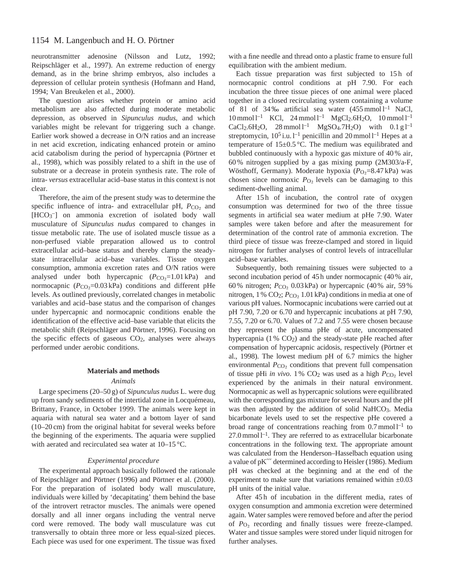neurotransmitter adenosine (Nilsson and Lutz, 1992; Reipschläger et al., 1997). An extreme reduction of energy demand, as in the brine shrimp embryos, also includes a depression of cellular protein synthesis (Hofmann and Hand, 1994; Van Breukelen et al., 2000).

The question arises whether protein or amino acid metabolism are also affected during moderate metabolic depression, as observed in *Sipunculus nudus*, and which variables might be relevant for triggering such a change. Earlier work showed a decrease in O/N ratios and an increase in net acid excretion, indicating enhanced protein or amino acid catabolism during the period of hypercapnia (Pörtner et al., 1998), which was possibly related to a shift in the use of substrate or a decrease in protein synthesis rate. The role of intra- *versus* extracellular acid–base status in this context is not clear.

Therefore, the aim of the present study was to determine the specific influence of intra- and extracellular pH,  $P_{CO<sub>2</sub>}$  and [HCO<sub>3</sub><sup>-</sup>] on ammonia excretion of isolated body wall musculature of *Sipunculus nudus* compared to changes in tissue metabolic rate. The use of isolated muscle tissue as a non-perfused viable preparation allowed us to control extracellular acid–base status and thereby clamp the steadystate intracellular acid–base variables. Tissue oxygen consumption, ammonia excretion rates and O/N ratios were analysed under both hypercapnic  $(P_{CO_2}=1.01 \text{ kPa})$  and normocapnic  $(P_{CO_2}=0.03 \text{ kPa})$  conditions and different pHe levels. As outlined previously, correlated changes in metabolic variables and acid–base status and the comparison of changes under hypercapnic and normocapnic conditions enable the identification of the effective acid–base variable that elicits the metabolic shift (Reipschläger and Pörtner, 1996). Focusing on the specific effects of gaseous  $CO<sub>2</sub>$ , analyses were always performed under aerobic conditions.

#### **Materials and methods**

#### *Animals*

Large specimens (20–50 g) of *Sipunculus nudus* L. were dug up from sandy sediments of the intertidal zone in Locquémeau, Brittany, France, in October 1999. The animals were kept in aquaria with natural sea water and a bottom layer of sand (10–20 cm) from the original habitat for several weeks before the beginning of the experiments. The aquaria were supplied with aerated and recirculated sea water at 10–15 °C.

## *Experimental procedure*

The experimental approach basically followed the rationale of Reipschläger and Pörtner (1996) and Pörtner et al. (2000). For the preparation of isolated body wall musculature, individuals were killed by 'decapitating' them behind the base of the introvert retractor muscles. The animals were opened dorsally and all inner organs including the ventral nerve cord were removed. The body wall musculature was cut transversally to obtain three more or less equal-sized pieces. Each piece was used for one experiment. The tissue was fixed

with a fine needle and thread onto a plastic frame to ensure full equilibration with the ambient medium.

Each tissue preparation was first subjected to 15h of normocapnic control conditions at pH 7.90. For each incubation the three tissue pieces of one animal were placed together in a closed recirculating system containing a volume of 81 of 34‰ artificial sea water  $(455 \text{ mmol } l^{-1}$  NaCl,  $10 \text{ mmol } l^{-1}$  KCl,  $24 \text{ mmol } l^{-1}$  MgCl<sub>2</sub>.6H<sub>2</sub>O,  $10 \text{ mmol } l^{-1}$  $CaCl<sub>2</sub>.6H<sub>2</sub>O$ ,  $28$  mmol  $l<sup>-1</sup>$  MgSO<sub>4</sub>.7H<sub>2</sub>O) with  $0.1$  g  $l<sup>-1</sup>$ streptomycin,  $10^5$ i.u. l<sup>-1</sup> penicillin and 20 mmol l<sup>-1</sup> Hepes at a temperature of 15±0.5 °C. The medium was equilibrated and bubbled continuously with a hypoxic gas mixture of 40 % air, 60 % nitrogen supplied by a gas mixing pump (2M303/a-F, Wösthoff, Germany). Moderate hypoxia (*P*<sub>O2</sub>=8.47 kPa) was chosen since normoxic  $P_{\text{O}_2}$  levels can be damaging to this sediment-dwelling animal.

After 15h of incubation, the control rate of oxygen consumption was determined for two of the three tissue segments in artificial sea water medium at pHe 7.90. Water samples were taken before and after the measurement for determination of the control rate of ammonia excretion. The third piece of tissue was freeze-clamped and stored in liquid nitrogen for further analyses of control levels of intracellular acid–base variables.

Subsequently, both remaining tissues were subjected to a second incubation period of 45 h under normocapnic (40 % air, 60% nitrogen; *P*<sub>CO2</sub> 0.03 kPa) or hypercapnic (40% air, 59% nitrogen, 1 % CO2; *P*<sub>CO2</sub> 1.01 kPa) conditions in media at one of various pH values. Normocapnic incubations were carried out at pH 7.90, 7.20 or 6.70 and hypercapnic incubations at pH 7.90, 7.55, 7.20 or 6.70. Values of 7.2 and 7.55 were chosen because they represent the plasma pHe of acute, uncompensated hypercapnia (1 % CO<sub>2</sub>) and the steady-state pHe reached after compensation of hypercapnic acidosis, respectively (Pörtner et al., 1998). The lowest medium pH of 6.7 mimics the higher environmental  $P_{\text{CO}_2}$  conditions that prevent full compensation of tissue pHi *in vivo*. 1%  $CO<sub>2</sub>$  was used as a high  $P_{CO<sub>2</sub>}$  level experienced by the animals in their natural environment. Normocapnic as well as hypercapnic solutions were equilibrated with the corresponding gas mixture for several hours and the pH was then adjusted by the addition of solid NaHCO<sub>3</sub>. Media bicarbonate levels used to set the respective pHe covered a broad range of concentrations reaching from  $0.7 \text{ mmol}^{-1}$  to  $27.0 \text{ mmol } l^{-1}$ . They are referred to as extracellular bicarbonate concentrations in the following text. The appropriate amount was calculated from the Henderson–Hasselbach equation using a value of pK′′′ determined according to Heisler (1986). Medium pH was checked at the beginning and at the end of the experiment to make sure that variations remained within  $\pm 0.03$ pH units of the initial value.

After 45 h of incubation in the different media, rates of oxygen consumption and ammonia excretion were determined again. Water samples were removed before and after the period of  $P_{\text{O}_2}$  recording and finally tissues were freeze-clamped. Water and tissue samples were stored under liquid nitrogen for further analyses.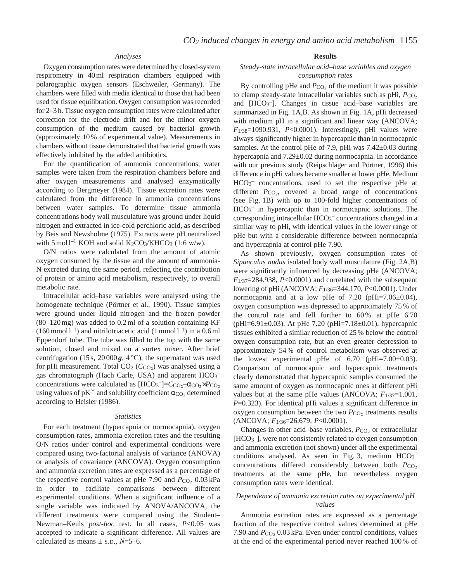## *Analyses*

Oxygen consumption rates were determined by closed-system respirometry in 40 ml respiration chambers equipped with polarographic oxygen sensors (Eschweiler, Germany). The chambers were filled with media identical to those that had been used for tissue equilibration. Oxygen consumption was recorded for 2–3 h. Tissue oxygen consumption rates were calculated after correction for the electrode drift and for the minor oxygen consumption of the medium caused by bacterial growth (approximately 10 % of experimental value). Measurements in chambers without tissue demonstrated that bacterial growth was effectively inhibited by the added antibiotics.

For the quantification of ammonia concentrations, water samples were taken from the respiration chambers before and after oxygen measurements and analysed enzymatically according to Bergmeyer (1984). Tissue excretion rates were calculated from the difference in ammonia concentrations between water samples. To determine tissue ammonia concentrations body wall musculature was ground under liquid nitrogen and extracted in ice-cold perchloric acid, as described by Beis and Newsholme (1975). Extracts were pH neutralized with  $5 \text{ mol}^{-1}$  KOH and solid K<sub>2</sub>CO<sub>3</sub>/KHCO<sub>3</sub> (1:6 w/w).

O/N ratios were calculated from the amount of atomic oxygen consumed by the tissue and the amount of ammonia-N excreted during the same period, reflecting the contribution of protein or amino acid metabolism, respectively, to overall metabolic rate.

Intracellular acid–base variables were analysed using the homogenate technique (Pörtner et al., 1990). Tissue samples were ground under liquid nitrogen and the frozen powder (80–120 mg) was added to 0.2 ml of a solution containing KF  $(160 \text{ mmol l}^{-1})$  and nitrilotriacetic acid  $(1 \text{ mmol l}^{-1})$  in a 0.6 ml Eppendorf tube. The tube was filled to the top with the same solution, closed and mixed on a vortex mixer. After brief centrifugation (15 s,  $20000g$ ,  $4^{\circ}$ C), the supernatant was used for pHi measurement. Total CO<sub>2</sub> (*C*<sub>CO</sub><sub>2</sub>) was analysed using a gas chromatograph (Hach Carle, USA) and apparent HCO<sub>3</sub>concentrations were calculated as  $[HCO_3^-] = C_{CO_2} - \alpha_{CO_2} \times P_{CO_2}$ using values of pK<sup> $\prime\prime\prime$ </sup> and solubility coefficient  $\alpha_{CO_2}$  determined according to Heisler (1986).

#### *Statistics*

For each treatment (hypercapnia or normocapnia), oxygen consumption rates, ammonia excretion rates and the resulting O/N ratios under control and experimental conditions were compared using two-factorial analysis of variance (ANOVA) or analysis of covariance (ANCOVA). Oxygen consumption and ammonia excretion rates are expressed as a percentage of the respective control values at pHe 7.90 and  $P_{\text{CO}_2}$  0.03 kPa in order to faciliate comparisons between different experimental conditions. When a significant influence of a single variable was indicated by ANOVA/ANCOVA, the different treatments were compared using the Student– Newman–Keuls *post-hoc* test. In all cases, *P*<0.05 was accepted to indicate a significant difference. All values are calculated as means  $\pm$  s.p.,  $N=5-6$ .

#### **Results**

## *Steady-state intracellular acid–base variables and oxygen consumption rates*

By controlling pHe and  $P_{\text{CO}_2}$  of the medium it was possible to clamp steady-state intracellular variables such as pHi,  $P_{CO<sub>2</sub>}$ and [HCO<sub>3</sub><sup>-</sup>]. Changes in tissue acid-base variables are summarized in Fig. 1A,B. As shown in Fig. 1A, pHi decreased with medium pH in a significant and linear way (ANCOVA; *F*1/38=1090.931, *P*<0.0001). Interestingly, pHi values were always significantly higher in hypercapnic than in normocapnic samples. At the control pHe of 7.9, pHi was 7.42±0.03 during hypercapnia and 7.29±0.02 during normocapnia. In accordance with our previous study (Reipschläger and Pörtner, 1996) this difference in pHi values became smaller at lower pHe. Medium HCO3 – concentrations, used to set the respective pHe at different  $P_{CO_2}$ , covered a broad range of concentrations (see Fig. 1B) with up to 100-fold higher concentrations of HCO<sub>3</sub><sup>-</sup> in hypercapnic than in normocapnic solutions. The corresponding intracellular HCO<sub>3</sub><sup>-</sup> concentrations changed in a similar way to pHi, with identical values in the lower range of pHe but with a considerable difference between normocapnia and hypercapnia at control pHe 7.90.

As shown previously, oxygen consumption rates of *Sipunculus nudus* isolated body wall musculature (Fig. 2A,B) were significantly influenced by decreasing pHe (ANCOVA; *F*1/37=284.938, *P*<0.0001) and correlated with the subsequent lowering of pHi (ANCOVA; *F*1/36=344.170, *P*<0.0001). Under normocapnia and at a low pHe of 7.20 (pHi=7.06±0.04), oxygen consumption was depressed to approximately 75 % of the control rate and fell further to 60 % at pHe 6.70 (pHi=6.91 $\pm$ 0.03). At pHe 7.20 (pHi=7.18 $\pm$ 0.01), hypercapnic tissues exhibited a similar reduction of 25 % below the control oxygen consumption rate, but an even greater depression to approximately 54 % of control metabolism was observed at the lowest experimental pHe of  $6.70$  (pHi=7.00 $\pm$ 0.03). Comparison of normocapnic and hypercapnic treatments clearly demonstrated that hypercapnic samples consumed the same amount of oxygen as normocapnic ones at different pHi values but at the same pHe values (ANCOVA;  $F_{1/37}=1.001$ , *P*=0.323). For identical pHi values a significant difference in oxygen consumption between the two  $P_{\text{CO}_2}$  treatments results (ANCOVA; *F*1/36=26.679, *P*<0.0001).

Changes in other acid–base variables,  $P_{CO<sub>2</sub>}$  or extracellular [HCO3 –], were not consistently related to oxygen consumption and ammonia excretion (not shown) under all the experimental conditions analysed. As seen in Fig. 3, medium  $HCO<sub>3</sub>$ concentrations differed considerably between both *P*CO2 treatments at the same pHe, but nevertheless oxygen consumption rates were identical.

# *Dependence of ammonia excretion rates on experimental pH values*

Ammonia excretion rates are expressed as a percentage fraction of the respective control values determined at pHe 7.90 and  $P_{CO_2}$  0.03 kPa. Even under control conditions, values at the end of the experimental period never reached 100 % of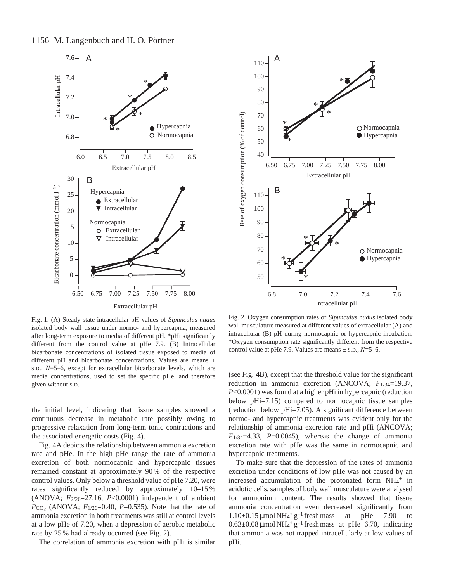

Fig. 1. (A) Steady-state intracellular pH values of *Sipunculus nudus* isolated body wall tissue under normo- and hypercapnia, measured after long-term exposure to media of different pH. \*pHi significantly different from the control value at pHe 7.9. (B) Intracellular bicarbonate concentrations of isolated tissue exposed to media of different pH and bicarbonate concentrations. Values are means  $\pm$ S.D., *N*=5–6, except for extracellular bicarbonate levels, which are media concentrations, used to set the specific pHe, and therefore given without S.D.

the initial level, indicating that tissue samples showed a continuous decrease in metabolic rate possibly owing to progressive relaxation from long-term tonic contractions and the associated energetic costs (Fig. 4).

Fig. 4A depicts the relationship between ammonia excretion rate and pHe. In the high pHe range the rate of ammonia excretion of both normocapnic and hypercapnic tissues remained constant at approximately 90 % of the respective control values. Only below a threshold value of pHe 7.20, were rates significantly reduced by approximately 10–15 % (ANOVA;  $F_{2/26}$ =27.16,  $P<0.0001$ ) independent of ambient *P*CO<sub>2</sub> (ANOVA;  $F_{1/26}$ =0.40, *P*=0.535). Note that the rate of ammonia excretion in both treatments was still at control levels at a low pHe of 7.20, when a depression of aerobic metabolic rate by 25 % had already occurred (see Fig. 2).

The correlation of ammonia excretion with pHi is similar



Fig. 2. Oxygen consumption rates of *Sipunculus nudus* isolated body wall musculature measured at different values of extracellular (A) and intracellular (B) pH during normocapnic or hypercapnic incubation. \*Oxygen consumption rate significantly different from the respective control value at pHe 7.9. Values are means ± S.D., *N*=5–6.

(see Fig. 4B), except that the threshold value for the significant reduction in ammonia excretion (ANCOVA; *F*1/34=19.37, *P*<0.0001) was found at a higher pHi in hypercapnic (reduction below pHi=7.15) compared to normocapnic tissue samples (reduction below pHi=7.05). A significant difference between normo- and hypercapnic treatments was evident only for the relationship of ammonia excretion rate and pHi (ANCOVA;  $F_{1/34}=4.33$ ,  $P=0.0045$ ), whereas the change of ammonia excretion rate with pHe was the same in normocapnic and hypercapnic treatments.

To make sure that the depression of the rates of ammonia excretion under conditions of low pHe was not caused by an increased accumulation of the protonated form NH<sub>4</sub>+ in acidotic cells, samples of body wall musculature were analysed for ammonium content. The results showed that tissue ammonia concentration even decreased significantly from  $1.10\pm0.15$  µmol NH<sub>4</sub><sup>+</sup> g<sup>-1</sup> fresh mass at pHe 7.90 to  $0.63\pm0.08$  µmol NH<sub>4</sub><sup>+</sup> g<sup>-1</sup> fresh mass at pHe 6.70, indicating that ammonia was not trapped intracellularly at low values of pHi.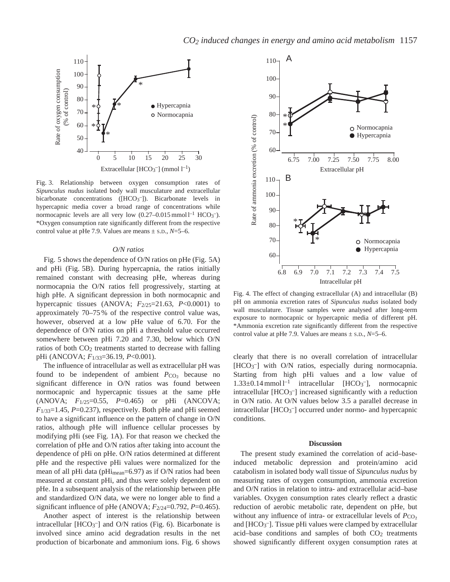

Fig. 3. Relationship between oxygen consumption rates of *Sipunculus nudus* isolated body wall musculature and extracellular bicarbonate concentrations ([HCO<sub>3</sub><sup>-</sup>]). Bicarbonate levels in hypercapnic media cover a broad range of concentrations while normocapnic levels are all very low  $(0.27-0.015 \text{ mmol l}^{-1} \text{ HCO}_3^{-})$ . \*Oxygen consumption rate significantly different from the respective control value at pHe 7.9. Values are means ± S.D., *N*=5–6.

### *O/N ratios*

Fig. 5 shows the dependence of O/N ratios on pHe (Fig. 5A) and pHi (Fig. 5B). During hypercapnia, the ratios initially remained constant with decreasing pHe, whereas during normocapnia the O/N ratios fell progressively, starting at high pHe. A significant depression in both normocapnic and hypercapnic tissues (ANOVA; *F*2/25=21.63, *P*<0.0001) to approximately 70–75 % of the respective control value was, however, observed at a low pHe value of 6.70. For the dependence of O/N ratios on pHi a threshold value occurred somewhere between pHi 7.20 and 7.30, below which O/N ratios of both CO2 treatments started to decrease with falling pHi (ANCOVA; *F*1/33=36.19, *P*<0.001).

The influence of intracellular as well as extracellular pH was found to be independent of ambient  $P_{CO_2}$  because no significant difference in O/N ratios was found between normocapnic and hypercapnic tissues at the same pHe (ANOVA; *F*1/25=0.55, *P*=0.465) or pHi (ANCOVA; *F*1/33=1.45, *P*=0.237), respectively. Both pHe and pHi seemed to have a significant influence on the pattern of change in O/N ratios, although pHe will influence cellular processes by modifying pHi (see Fig. 1A). For that reason we checked the correlation of pHe and O/N ratios after taking into account the dependence of pHi on pHe. O/N ratios determined at different pHe and the respective pHi values were normalized for the mean of all pHi data (pHi<sub>mean</sub>=6.97) as if O/N ratios had been measured at constant pHi, and thus were solely dependent on pHe. In a subsequent analysis of the relationship between pHe and standardized O/N data, we were no longer able to find a significant influence of pHe (ANOVA; *F*2/24=0.792, *P*=0.465).

Another aspect of interest is the relationship between intracellular [HCO<sub>3</sub><sup>-</sup>] and O/N ratios (Fig. 6). Bicarbonate is involved since amino acid degradation results in the net production of bicarbonate and ammonium ions. Fig. 6 shows



Fig. 4. The effect of changing extracellular (A) and intracellular (B) pH on ammonia excretion rates of *Sipunculus nudus* isolated body wall musculature. Tissue samples were analysed after long-term exposure to normocapnic or hypercapnic media of different pH. \*Ammonia excretion rate significantly different from the respective control value at pHe 7.9. Values are means ± S.D., *N*=5–6.

clearly that there is no overall correlation of intracellular [HCO<sub>3</sub><sup>-</sup>] with O/N ratios, especially during normocapnia. Starting from high pHi values and a low value of  $1.33\pm0.14$  mmol  $l^{-1}$  intracellular [HCO<sub>3</sub><sup>-</sup>], normocapnic intracellular [HCO3 –] increased significantly with a reduction in O/N ratio. At O/N values below 3.5 a parallel decrease in intracellular [HCO<sub>3</sub><sup>-</sup>] occurred under normo- and hypercapnic conditions.

#### **Discussion**

The present study examined the correlation of acid–baseinduced metabolic depression and protein/amino acid catabolism in isolated body wall tissue of *Sipunculus nudus* by measuring rates of oxygen consumption, ammonia excretion and O/N ratios in relation to intra- and extracellular acid–base variables. Oxygen consumption rates clearly reflect a drastic reduction of aerobic metabolic rate, dependent on pHe, but without any influence of intra- or extracellular levels of *P*<sub>CO</sub><sub>2</sub> and [HCO3 –]. Tissue pHi values were clamped by extracellular acid–base conditions and samples of both CO2 treatments showed significantly different oxygen consumption rates at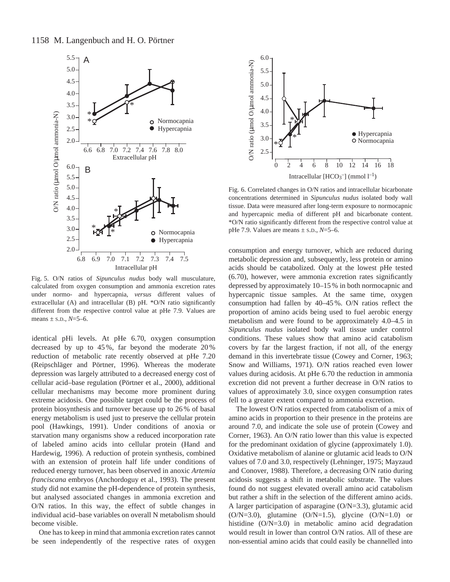

Fig. 5. O/N ratios of *Sipunculus nudus* body wall musculature, calculated from oxygen consumption and ammonia excretion rates under normo- and hypercapnia, *versus* different values of extracellular (A) and intracellular (B) pH. \*O/N ratio significantly different from the respective control value at pHe 7.9. Values are means  $\pm$  s.p.,  $N=5-6$ .

identical pHi levels. At pHe 6.70, oxygen consumption decreased by up to 45 %, far beyond the moderate 20 % reduction of metabolic rate recently observed at pHe 7.20 (Reipschläger and Pörtner, 1996). Whereas the moderate depression was largely attributed to a decreased energy cost of cellular acid–base regulation (Pörtner et al., 2000), additional cellular mechanisms may become more prominent during extreme acidosis. One possible target could be the process of protein biosynthesis and turnover because up to 26 % of basal energy metabolism is used just to preserve the cellular protein pool (Hawkings, 1991). Under conditions of anoxia or starvation many organisms show a reduced incorporation rate of labeled amino acids into cellular protein (Hand and Hardewig, 1996). A reduction of protein synthesis, combined with an extension of protein half life under conditions of reduced energy turnover, has been observed in anoxic *Artemia franciscana* embryos (Anchordoguy et al., 1993). The present study did not examine the pH-dependence of protein synthesis, but analysed associated changes in ammonia excretion and O/N ratios. In this way, the effect of subtle changes in individual acid–base variables on overall N metabolism should become visible.

One has to keep in mind that ammonia excretion rates cannot be seen independently of the respective rates of oxygen



Fig. 6. Correlated changes in O/N ratios and intracellular bicarbonate concentrations determined in *Sipunculus nudus* isolated body wall tissue. Data were measured after long-term exposure to normocapnic and hypercapnic media of different pH and bicarbonate content. \*O/N ratio significantly different from the respective control value at pHe 7.9. Values are means ± S.D., *N*=5–6.

consumption and energy turnover, which are reduced during metabolic depression and, subsequently, less protein or amino acids should be catabolized. Only at the lowest pHe tested (6.70), however, were ammonia excretion rates significantly depressed by approximately 10–15 % in both normocapnic and hypercapnic tissue samples. At the same time, oxygen consumption had fallen by 40–45 %. O/N ratios reflect the proportion of amino acids being used to fuel aerobic energy metabolism and were found to be approximately 4.0–4.5 in *Sipunculus nudus* isolated body wall tissue under control conditions. These values show that amino acid catabolism covers by far the largest fraction, if not all, of the energy demand in this invertebrate tissue (Cowey and Corner, 1963; Snow and Williams, 1971). O/N ratios reached even lower values during acidosis. At pHe 6.70 the reduction in ammonia excretion did not prevent a further decrease in O/N ratios to values of approximately 3.0, since oxygen consumption rates fell to a greater extent compared to ammonia excretion.

The lowest O/N ratios expected from catabolism of a mix of amino acids in proportion to their presence in the proteins are around 7.0, and indicate the sole use of protein (Cowey and Corner, 1963). An O/N ratio lower than this value is expected for the predominant oxidation of glycine (approximately 1.0). Oxidative metabolism of alanine or glutamic acid leads to O/N values of 7.0 and 3.0, respectively (Lehninger, 1975; Mayzaud and Conover, 1988). Therefore, a decreasing O/N ratio during acidosis suggests a shift in metabolic substrate. The values found do not suggest elevated overall amino acid catabolism but rather a shift in the selection of the different amino acids. A larger participation of asparagine (O/N=3.3), glutamic acid  $(O/N=3.0)$ , glutamine  $(O/N=1.5)$ , glycine  $(O/N=1.0)$  or histidine (O/N=3.0) in metabolic amino acid degradation would result in lower than control O/N ratios. All of these are non-essential amino acids that could easily be channelled into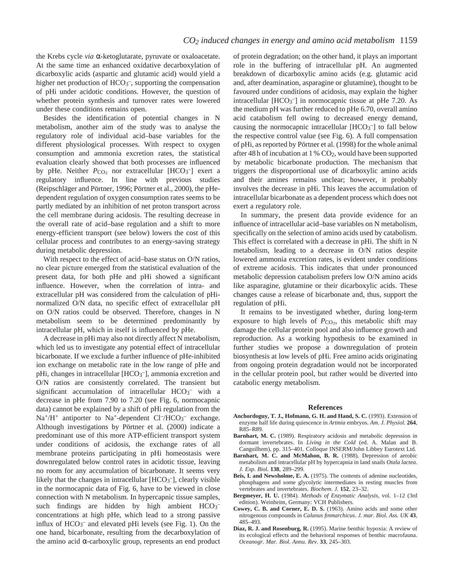the Krebs cycle *via* α-ketoglutarate, pyruvate or oxaloacetate. At the same time an enhanced oxidative decarboxylation of dicarboxylic acids (aspartic and glutamic acid) would yield a higher net production of HCO<sub>3</sub><sup>-</sup>, supporting the compensation of pHi under acidotic conditions. However, the question of whether protein synthesis and turnover rates were lowered under these conditions remains open.

Besides the identification of potential changes in N metabolism, another aim of the study was to analyse the regulatory role of individual acid–base variables for the different physiological processes. With respect to oxygen consumption and ammonia excretion rates, the statistical evaluation clearly showed that both processes are influenced by pHe. Neither  $P_{CO_2}$  nor extracellular [HCO<sub>3</sub><sup>-</sup>] exert a regulatory influence. In line with previous studies (Reipschläger and Pörtner, 1996; Pörtner et al., 2000), the pHedependent regulation of oxygen consumption rates seems to be partly mediated by an inhibition of net proton transport across the cell membrane during acidosis. The resulting decrease in the overall rate of acid–base regulation and a shift to more energy-efficient transport (see below) lowers the cost of this cellular process and contributes to an energy-saving strategy during metabolic depression.

With respect to the effect of acid–base status on O/N ratios, no clear picture emerged from the statistical evaluation of the present data, for both pHe and pHi showed a significant influence. However, when the correlation of intra- and extracellular pH was considered from the calculation of pHinormalized O/N data, no specific effect of extracellular pH on O/N ratios could be observed. Therefore, changes in N metabolism seem to be determined predominantly by intracellular pH, which in itself is influenced by pHe.

A decrease in pHi may also not directly affect N metabolism, which led us to investigate any potential effect of intracellular bicarbonate. If we exclude a further influence of pHe-inhibited ion exchange on metabolic rate in the low range of pHe and pHi, changes in intracellular [HCO<sub>3</sub><sup>-</sup>], ammonia excretion and O/N ratios are consistently correlated. The transient but significant accumulation of intracellular  $HCO<sub>3</sub>$  with a decrease in pHe from 7.90 to 7.20 (see Fig. 6, normocapnic data) cannot be explained by a shift of pHi regulation from the  $Na^{+}/H^{+}$  antiporter to Na<sup>+</sup>-dependent Cl<sup>-</sup>/HCO<sub>3</sub><sup>-</sup> exchange. Although investigations by Pörtner et al. (2000) indicate a predominant use of this more ATP-efficient transport system under conditions of acidosis, the exchange rates of all membrane proteins participating in pHi homeostasis were downregulated below control rates in acidotic tissue, leaving no room for any accumulation of bicarbonate. It seems very likely that the changes in intracellular [HCO<sub>3</sub><sup>-</sup>], clearly visible in the normocapnic data of Fig. 6, have to be viewed in close connection with N metabolism. In hypercapnic tissue samples, such findings are hidden by high ambient  $HCO_3^$ concentrations at high pHe, which lead to a strong passive influx of  $HCO<sub>3</sub><sup>-</sup>$  and elevated pHi levels (see Fig. 1). On the one hand, bicarbonate, resulting from the decarboxylation of the amino acid α-carboxylic group, represents an end product of protein degradation; on the other hand, it plays an important role in the buffering of intracellular pH. An augmented breakdown of dicarboxylic amino acids (e.g. glutamic acid and, after deamination, asparagine or glutamine), thought to be favoured under conditions of acidosis, may explain the higher intracellular [HCO<sub>3</sub><sup>-</sup>] in normocapnic tissue at pHe 7.20. As the medium pH was further reduced to pHe 6.70, overall amino acid catabolism fell owing to decreased energy demand, causing the normocapnic intracellular  $[HCO<sub>3</sub><sup>-</sup>]$  to fall below the respective control value (see Fig. 6). A full compensation of pHi, as reported by Pörtner et al. (1998) for the whole animal after 48 h of incubation at 1 % CO2, would have been supported by metabolic bicarbonate production. The mechanism that triggers the disproportional use of dicarboxylic amino acids and their amines remains unclear; however, it probably involves the decrease in pHi. This leaves the accumulation of intracellular bicarbonate as a dependent process which does not exert a regulatory role.

In summary, the present data provide evidence for an influence of intracellular acid–base variables on N metabolism, specifically on the selection of amino acids used by catabolism. This effect is correlated with a decrease in pHi. The shift in N metabolism, leading to a decrease in O/N ratios despite lowered ammonia excretion rates, is evident under conditions of extreme acidosis. This indicates that under pronounced metabolic depression catabolism prefers low O/N amino acids like asparagine, glutamine or their dicarboxylic acids. These changes cause a release of bicarbonate and, thus, support the regulation of pHi.

It remains to be investigated whether, during long-term exposure to high levels of  $P_{\text{CO}_2}$ , this metabolic shift may damage the cellular protein pool and also influence growth and reproduction. As a working hypothesis to be examined in further studies we propose a downregulation of protein biosynthesis at low levels of pHi. Free amino acids originating from ongoing protein degradation would not be incorporated in the cellular protein pool, but rather would be diverted into catabolic energy metabolism.

#### **References**

- **Anchordoguy, T. J., Hofmann, G. H. and Hand, S. C.** (1993). Extension of enzyme half life during quiescence in *Artmia* embryos. *Am. J. Physiol.* **264**, R85–R89.
- **Barnhart, M. C.** (1989). Respiratory acidosis and metabolic depression in dormant invertebrates. In *Living in the Cold* (ed. A. Malan and B. Canguilhem), pp. 315–401. Colloque INSERM/John Libbey Eurotext Ltd.
- Barnhart, M. C. and McMahon, B. R. (1988). Depression of aerobic metabolism and intracellular pH by hypercapnia in land snails *Otala lactea*. *J. Exp. Biol.* **138**, 289–299.
- **Beis, I. and Newsholme, E. A.** (1975). The contents of adenine nucleotides, phosphagens and some glycolytic intermediates in resting muscles from vertebrates and invertebrates. *Biochem. J.* **152**, 23–32.
- **Bergmeyer, H. U.** (1984). *Methods of Enzymatic Analysis*, vol. 1–12 (3rd edition). Weinheim, Germany: VCH Publishers.
- **Cowey, C. B. and Corner, E. D. S.** (1963). Amino acids and some other nitrogenous compounds in *Calanus finmarchicus*. *J. mar. Biol. Ass. UK* **43**, 485–493.
- **Diaz, R. J. and Rosenburg, R.** (1995). Marine benthic hypoxia: A review of its ecological effects and the behavioral responses of benthic macrofauna. *Oceanogr. Mar. Biol. Annu. Rev.* **33**, 245–303.